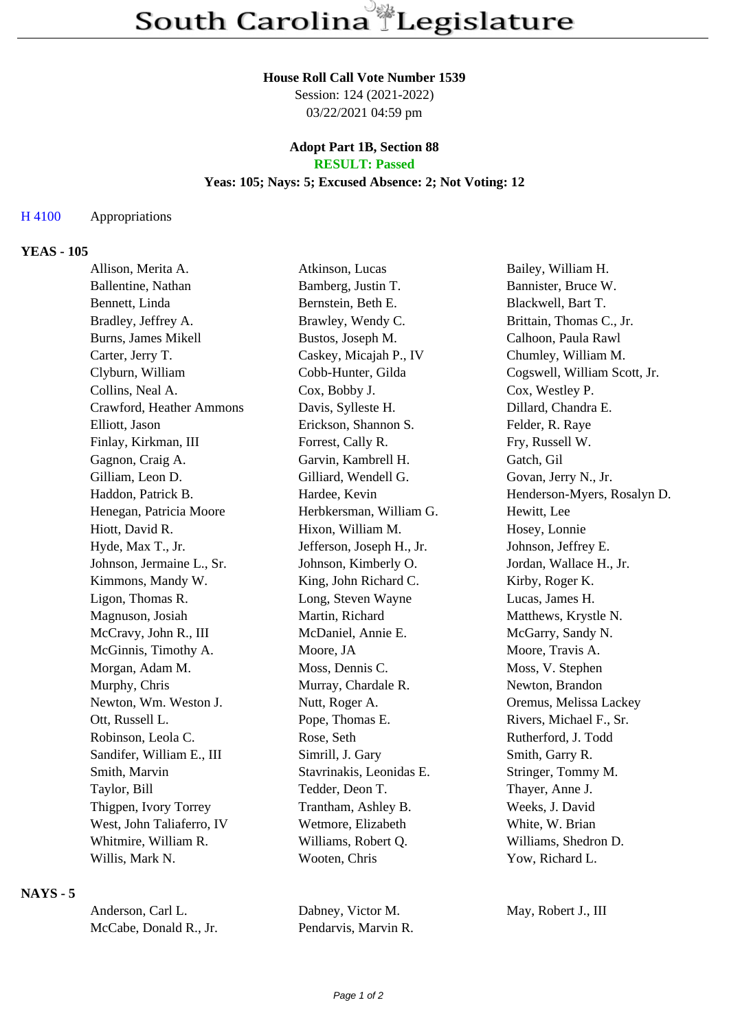# **House Roll Call Vote Number 1539**

Session: 124 (2021-2022) 03/22/2021 04:59 pm

#### **Adopt Part 1B, Section 88 RESULT: Passed**

# **Yeas: 105; Nays: 5; Excused Absence: 2; Not Voting: 12**

### H 4100 Appropriations

# **YEAS - 105**

| Allison, Merita A.         | Atkinson, Lucas           | Bailey, William H.           |
|----------------------------|---------------------------|------------------------------|
| Ballentine, Nathan         | Bamberg, Justin T.        | Bannister, Bruce W.          |
| Bennett, Linda             | Bernstein, Beth E.        | Blackwell, Bart T.           |
| Bradley, Jeffrey A.        | Brawley, Wendy C.         | Brittain, Thomas C., Jr.     |
| <b>Burns, James Mikell</b> | Bustos, Joseph M.         | Calhoon, Paula Rawl          |
| Carter, Jerry T.           | Caskey, Micajah P., IV    | Chumley, William M.          |
| Clyburn, William           | Cobb-Hunter, Gilda        | Cogswell, William Scott, Jr. |
| Collins, Neal A.           | Cox, Bobby J.             | Cox, Westley P.              |
| Crawford, Heather Ammons   | Davis, Sylleste H.        | Dillard, Chandra E.          |
| Elliott, Jason             | Erickson, Shannon S.      | Felder, R. Raye              |
| Finlay, Kirkman, III       | Forrest, Cally R.         | Fry, Russell W.              |
| Gagnon, Craig A.           | Garvin, Kambrell H.       | Gatch, Gil                   |
| Gilliam, Leon D.           | Gilliard, Wendell G.      | Govan, Jerry N., Jr.         |
| Haddon, Patrick B.         | Hardee, Kevin             | Henderson-Myers, Rosalyn D.  |
| Henegan, Patricia Moore    | Herbkersman, William G.   | Hewitt, Lee                  |
| Hiott, David R.            | Hixon, William M.         | Hosey, Lonnie                |
| Hyde, Max T., Jr.          | Jefferson, Joseph H., Jr. | Johnson, Jeffrey E.          |
| Johnson, Jermaine L., Sr.  | Johnson, Kimberly O.      | Jordan, Wallace H., Jr.      |
| Kimmons, Mandy W.          | King, John Richard C.     | Kirby, Roger K.              |
| Ligon, Thomas R.           | Long, Steven Wayne        | Lucas, James H.              |
| Magnuson, Josiah           | Martin, Richard           | Matthews, Krystle N.         |
| McCravy, John R., III      | McDaniel, Annie E.        | McGarry, Sandy N.            |
| McGinnis, Timothy A.       | Moore, JA                 | Moore, Travis A.             |
| Morgan, Adam M.            | Moss, Dennis C.           | Moss, V. Stephen             |
| Murphy, Chris              | Murray, Chardale R.       | Newton, Brandon              |
| Newton, Wm. Weston J.      | Nutt, Roger A.            | Oremus, Melissa Lackey       |
| Ott, Russell L.            | Pope, Thomas E.           | Rivers, Michael F., Sr.      |
| Robinson, Leola C.         | Rose, Seth                | Rutherford, J. Todd          |
| Sandifer, William E., III  | Simrill, J. Gary          | Smith, Garry R.              |
| Smith, Marvin              | Stavrinakis, Leonidas E.  | Stringer, Tommy M.           |
| Taylor, Bill               | Tedder, Deon T.           | Thayer, Anne J.              |
| Thigpen, Ivory Torrey      | Trantham, Ashley B.       | Weeks, J. David              |
| West, John Taliaferro, IV  | Wetmore, Elizabeth        | White, W. Brian              |
| Whitmire, William R.       | Williams, Robert Q.       | Williams, Shedron D.         |
| Willis, Mark N.            | Wooten, Chris             | Yow, Richard L.              |

### **NAYS - 5**

| Anderson, Carl L.      | Dabney, Victor M.    | May, Robert J., III |
|------------------------|----------------------|---------------------|
| McCabe, Donald R., Jr. | Pendarvis, Marvin R. |                     |